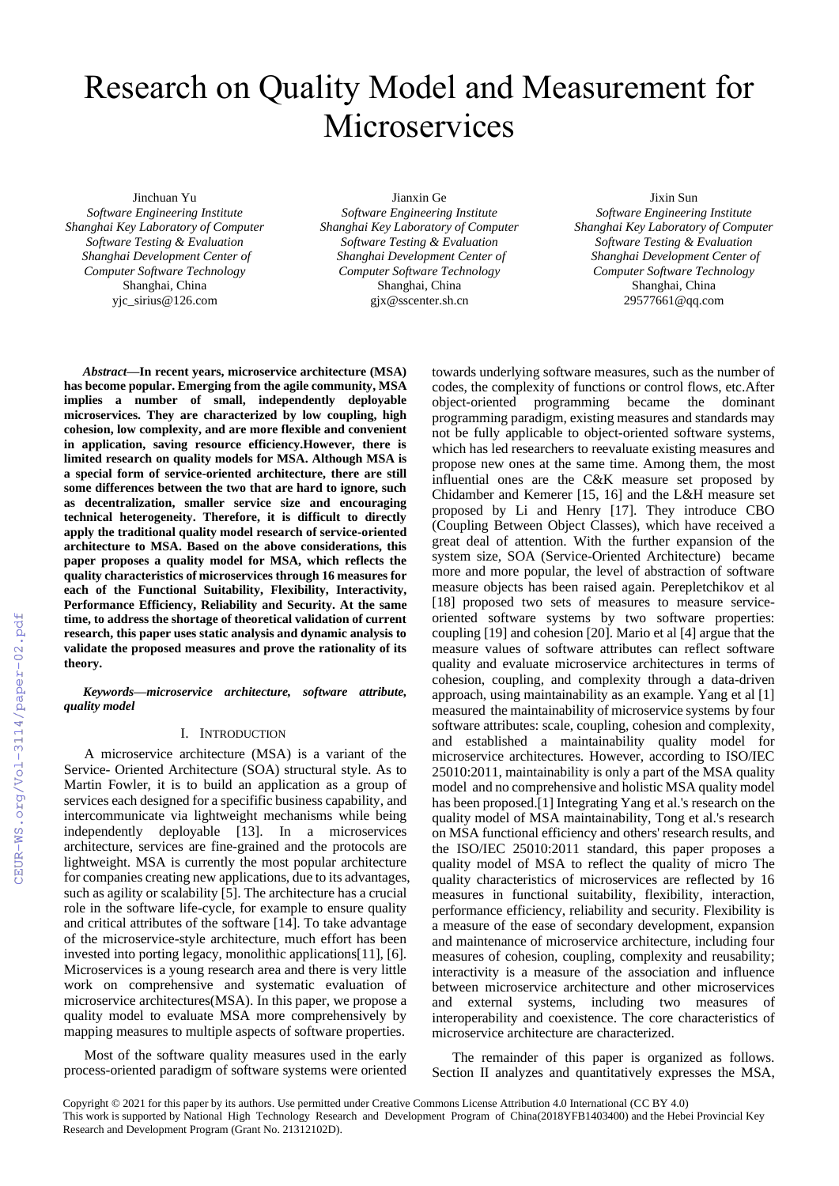# Research on Quality Model and Measurement for **Microservices**

Jinchuan Yu

*Software Engineering Institute Shanghai Key Laboratory of Computer Software Testing & Evaluation Shanghai Development Center of Computer Software Technology* Shanghai, China yjc\_sirius@126.com

Jianxin Ge *Software Engineering Institute Shanghai Key Laboratory of Computer Software Testing & Evaluation Shanghai Development Center of Computer Software Technology* Shanghai, China gjx@sscenter.sh.cn

Jixin Sun *Software Engineering Institute Shanghai Key Laboratory of Computer Software Testing & Evaluation Shanghai Development Center of Computer Software Technology* Shanghai, China 29577661@qq.com

*Abstract***—In recent years, microservice architecture (MSA) has become popular. Emerging from the agile community, MSA implies a number of small, independently deployable microservices. They are characterized by low coupling, high cohesion, low complexity, and are more flexible and convenient in application, saving resource efficiency.However, there is limited research on quality models for MSA. Although MSA is a special form of service-oriented architecture, there are still some differences between the two that are hard to ignore, such as decentralization, smaller service size and encouraging technical heterogeneity. Therefore, it is difficult to directly apply the traditional quality model research of service-oriented architecture to MSA. Based on the above considerations, this paper proposes a quality model for MSA, which reflects the quality characteristics of microservices through 16 measures for each of the Functional Suitability, Flexibility, Interactivity, Performance Efficiency, Reliability and Security. At the same time, to address the shortage of theoretical validation of current research, this paper uses static analysis and dynamic analysis to validate the proposed measures and prove the rationality of its theory.**

*Keywords—microservice architecture, software attribute, quality model*

# I. INTRODUCTION

A microservice architecture (MSA) is a variant of the Service- Oriented Architecture (SOA) structural style. As to Martin Fowler, it is to build an application as a group of services each designed for a specifific business capability, and intercommunicate via lightweight mechanisms while being independently deployable [13]. In a microservices architecture, services are fine-grained and the protocols are lightweight. MSA is currently the most popular architecture for companies creating new applications, due to its advantages, such as agility or scalability [5]. The architecture has a crucial role in the software life-cycle, for example to ensure quality and critical attributes of the software [14]. To take advantage of the microservice-style architecture, much effort has been invested into porting legacy, monolithic applications[11], [6]. Microservices is a young research area and there is very little work on comprehensive and systematic evaluation of microservice architectures(MSA). In this paper, we propose a quality model to evaluate MSA more comprehensively by mapping measures to multiple aspects of software properties.

Most of the software quality measures used in the early process-oriented paradigm of software systems were oriented

towards underlying software measures, such as the number of codes, the complexity of functions or control flows, etc.After object-oriented programming became the dominant programming paradigm, existing measures and standards may not be fully applicable to object-oriented software systems, which has led researchers to reevaluate existing measures and propose new ones at the same time. Among them, the most influential ones are the C&K measure set proposed by Chidamber and Kemerer [15, 16] and the L&H measure set proposed by Li and Henry [17]. They introduce CBO (Coupling Between Object Classes), which have received a great deal of attention. With the further expansion of the system size, SOA (Service-Oriented Architecture) became more and more popular, the level of abstraction of software measure objects has been raised again. Perepletchikov et al [18] proposed two sets of measures to measure serviceoriented software systems by two software properties: coupling [19] and cohesion [20]. Mario et al [4] argue that the measure values of software attributes can reflect software quality and evaluate microservice architectures in terms of cohesion, coupling, and complexity through a data-driven approach, using maintainability as an example. Yang et al [1] measured the maintainability of microservice systems by four software attributes: scale, coupling, cohesion and complexity, and established a maintainability quality model for microservice architectures. However, according to ISO/IEC 25010:2011, maintainability is only a part of the MSA quality model and no comprehensive and holistic MSA quality model has been proposed.[1] Integrating Yang et al.'s research on the quality model of MSA maintainability, Tong et al.'s research on MSA functional efficiency and others' research results, and the ISO/IEC 25010:2011 standard, this paper proposes a quality model of MSA to reflect the quality of micro The quality characteristics of microservices are reflected by 16 measures in functional suitability, flexibility, interaction, performance efficiency, reliability and security. Flexibility is a measure of the ease of secondary development, expansion and maintenance of microservice architecture, including four measures of cohesion, coupling, complexity and reusability; interactivity is a measure of the association and influence between microservice architecture and other microservices and external systems, including two measures of interoperability and coexistence. The core characteristics of microservice architecture are characterized.

The remainder of this paper is organized as follows. Section II analyzes and quantitatively expresses the MSA,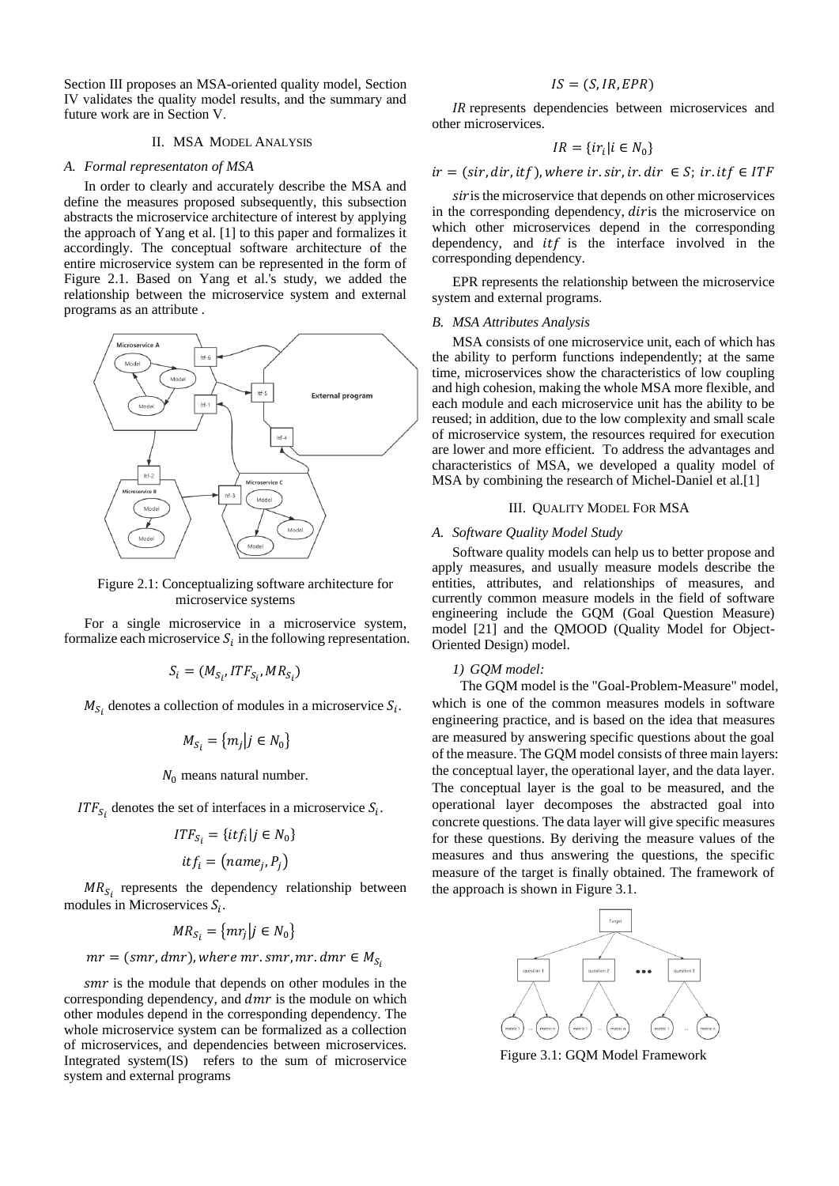Section Ⅲ proposes an MSA-oriented quality model, Section Ⅳ validates the quality model results, and the summary and future work are in Section Ⅴ.

### II. MSA MODEL ANALYSIS

### *A. Formal representaton of MSA*

In order to clearly and accurately describe the MSA and define the measures proposed subsequently, this subsection abstracts the microservice architecture of interest by applying the approach of Yang et al. [1] to this paper and formalizes it accordingly. The conceptual software architecture of the entire microservice system can be represented in the form of Figure 2.1. Based on Yang et al.'s study, we added the relationship between the microservice system and external programs as an attribute .



Figure 2.1: Conceptualizing software architecture for microservice systems

For a single microservice in a microservice system, formalize each microservice  $S_i$  in the following representation.

$$
S_i = (M_{S_i}, ITF_{S_i}, MR_{S_i})
$$

 $M_{S_i}$  denotes a collection of modules in a microservice  $S_i$ .

$$
M_{S_i} = \{m_j | j \in N_0\}
$$

 $N_0$  means natural number.

*ITF*<sub>S<sub>i</sub></sub> denotes the set of interfaces in a microservice  $S_i$ .

$$
ITF_{S_i} = \{ itf_i | j \in N_0 \}
$$

$$
itf_i = (name_j, P_j)
$$

 $MR_{S_i}$  represents the dependency relationship between modules in Microservices  $S_i$ .

$$
MR_{S_i} = \{mr_j | j \in N_0\}
$$

 $mr = (smr, dmr)$ , where mr. smr, mr. dmr  $\in M_{S_i}$ 

smr is the module that depends on other modules in the corresponding dependency, and  $dmr$  is the module on which other modules depend in the corresponding dependency. The whole microservice system can be formalized as a collection of microservices, and dependencies between microservices. Integrated system(IS) refers to the sum of microservice system and external programs

# $IS = (S, IR, EPR)$

IR represents dependencies between microservices and other microservices.

$$
IR = \{ir_i | i \in N_0\}
$$

 $ir = (sir, dir, itf)$ , where ir. sir, ir. dir  $\in S$ ; ir. itf  $\in ITF$ 

sir is the microservice that depends on other microservices in the corresponding dependency, diris the microservice on which other microservices depend in the corresponding dependency, and  $itf$  is the interface involved in the corresponding dependency.

EPR represents the relationship between the microservice system and external programs.

### *B. MSA Attributes Analysis*

MSA consists of one microservice unit, each of which has the ability to perform functions independently; at the same time, microservices show the characteristics of low coupling and high cohesion, making the whole MSA more flexible, and each module and each microservice unit has the ability to be reused; in addition, due to the low complexity and small scale of microservice system, the resources required for execution are lower and more efficient. To address the advantages and characteristics of MSA, we developed a quality model of MSA by combining the research of Michel-Daniel et al.[1]

### III. QUALITY MODEL FOR MSA

### *A. Software Quality Model Study*

Software quality models can help us to better propose and apply measures, and usually measure models describe the entities, attributes, and relationships of measures, and currently common measure models in the field of software engineering include the GQM (Goal Question Measure) model [21] and the QMOOD (Quality Model for Object-Oriented Design) model.

### *1) GQM model:*

The GQM model is the "Goal-Problem-Measure" model, which is one of the common measures models in software engineering practice, and is based on the idea that measures are measured by answering specific questions about the goal of the measure. The GQM model consists of three main layers: the conceptual layer, the operational layer, and the data layer. The conceptual layer is the goal to be measured, and the operational layer decomposes the abstracted goal into concrete questions. The data layer will give specific measures for these questions. By deriving the measure values of the measures and thus answering the questions, the specific measure of the target is finally obtained. The framework of the approach is shown in Figure 3.1.



Figure 3.1: GQM Model Framework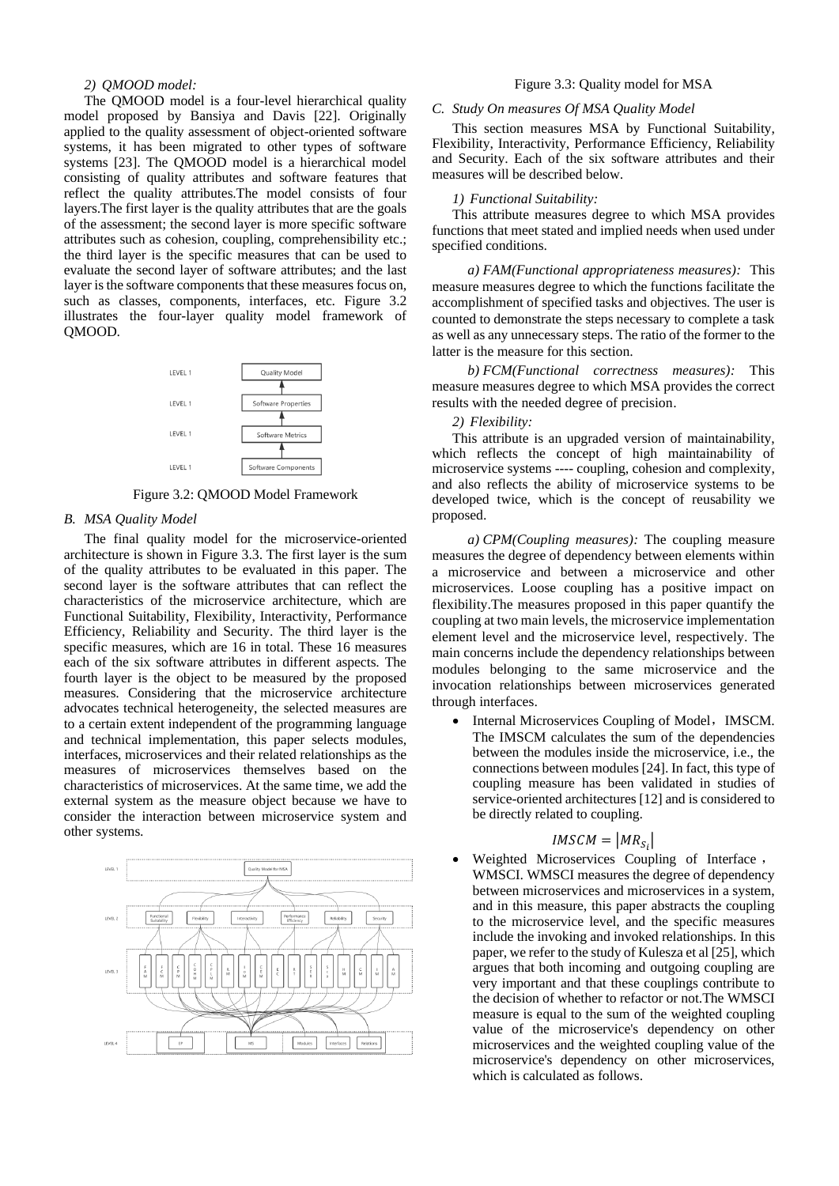# *2) QMOOD model:*

The QMOOD model is a four-level hierarchical quality model proposed by Bansiya and Davis [22]. Originally applied to the quality assessment of object-oriented software systems, it has been migrated to other types of software systems [23]. The QMOOD model is a hierarchical model consisting of quality attributes and software features that reflect the quality attributes.The model consists of four layers.The first layer is the quality attributes that are the goals of the assessment; the second layer is more specific software attributes such as cohesion, coupling, comprehensibility etc.; the third layer is the specific measures that can be used to evaluate the second layer of software attributes; and the last layer is the software components that these measures focus on, such as classes, components, interfaces, etc. Figure 3.2 illustrates the four-layer quality model framework of QMOOD.



Figure 3.2: QMOOD Model Framework

# *B. MSA Quality Model*

The final quality model for the microservice-oriented architecture is shown in Figure 3.3. The first layer is the sum of the quality attributes to be evaluated in this paper. The second layer is the software attributes that can reflect the characteristics of the microservice architecture, which are Functional Suitability, Flexibility, Interactivity, Performance Efficiency, Reliability and Security. The third layer is the specific measures, which are 16 in total. These 16 measures each of the six software attributes in different aspects. The fourth layer is the object to be measured by the proposed measures. Considering that the microservice architecture advocates technical heterogeneity, the selected measures are to a certain extent independent of the programming language and technical implementation, this paper selects modules, interfaces, microservices and their related relationships as the measures of microservices themselves based on the characteristics of microservices. At the same time, we add the external system as the measure object because we have to consider the interaction between microservice system and other systems.



# Figure 3.3: Quality model for MSA

### *C. Study On measures Of MSA Quality Model*

This section measures MSA by Functional Suitability, Flexibility, Interactivity, Performance Efficiency, Reliability and Security. Each of the six software attributes and their measures will be described below.

### *1) Functional Suitability:*

This attribute measures degree to which MSA provides functions that meet stated and implied needs when used under specified conditions.

*a) FAM(Functional appropriateness measures):* This measure measures degree to which the functions facilitate the accomplishment of specified tasks and objectives. The user is counted to demonstrate the steps necessary to complete a task as well as any unnecessary steps. The ratio of the former to the latter is the measure for this section.

*b) FCM(Functional correctness measures):* This measure measures degree to which MSA provides the correct results with the needed degree of precision.

### *2) Flexibility:*

This attribute is an upgraded version of maintainability, which reflects the concept of high maintainability of microservice systems ---- coupling, cohesion and complexity, and also reflects the ability of microservice systems to be developed twice, which is the concept of reusability we proposed.

*a) CPM(Coupling measures):* The coupling measure measures the degree of dependency between elements within a microservice and between a microservice and other microservices. Loose coupling has a positive impact on flexibility.The measures proposed in this paper quantify the coupling at two main levels, the microservice implementation element level and the microservice level, respectively. The main concerns include the dependency relationships between modules belonging to the same microservice and the invocation relationships between microservices generated through interfaces.

• Internal Microservices Coupling of Model, IMSCM. The IMSCM calculates the sum of the dependencies between the modules inside the microservice, i.e., the connections between modules [24]. In fact, this type of coupling measure has been validated in studies of service-oriented architectures [12] and is considered to be directly related to coupling.

# $IMSCM = |MR_{S_i}|$

• Weighted Microservices Coupling of Interface , WMSCI. WMSCI measures the degree of dependency between microservices and microservices in a system, and in this measure, this paper abstracts the coupling to the microservice level, and the specific measures include the invoking and invoked relationships. In this paper, we refer to the study of Kulesza et al [25], which argues that both incoming and outgoing coupling are very important and that these couplings contribute to the decision of whether to refactor or not.The WMSCI measure is equal to the sum of the weighted coupling value of the microservice's dependency on other microservices and the weighted coupling value of the microservice's dependency on other microservices, which is calculated as follows.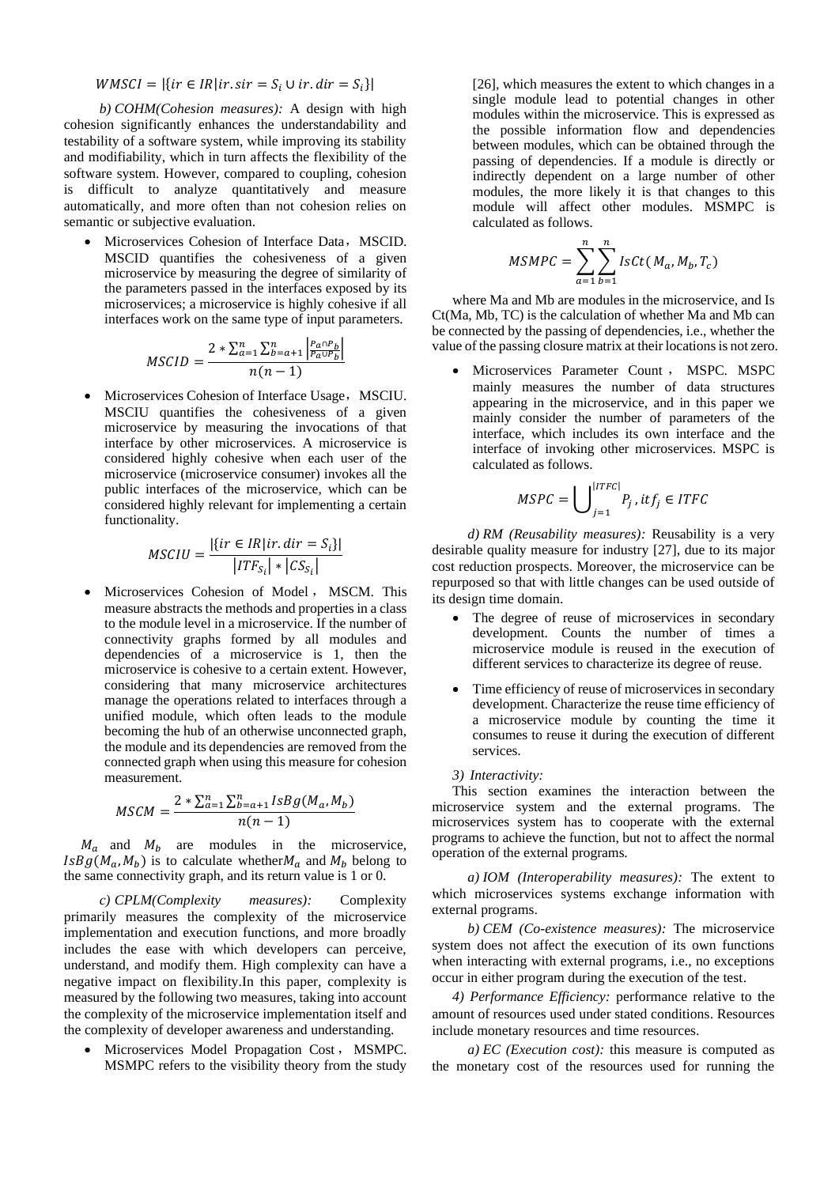$WMSCI = |\{ir \in IR | ir . sir = S_i \cup ir . dir = S_i\}|$ 

*b) COHM(Cohesion measures):* A design with high cohesion significantly enhances the understandability and testability of a software system, while improving its stability and modifiability, which in turn affects the flexibility of the software system. However, compared to coupling, cohesion is difficult to analyze quantitatively and measure automatically, and more often than not cohesion relies on semantic or subjective evaluation.

• Microservices Cohesion of Interface Data, MSCID. MSCID quantifies the cohesiveness of a given microservice by measuring the degree of similarity of the parameters passed in the interfaces exposed by its microservices; a microservice is highly cohesive if all interfaces work on the same type of input parameters.

$$
MSCID = \frac{2 * \sum_{a=1}^{n} \sum_{b=a+1}^{n} \left| \frac{P_a \cap P_b}{P_a \cup P_b} \right|}{n(n-1)}
$$

• Microservices Cohesion of Interface Usage, MSCIU. MSCIU quantifies the cohesiveness of a given microservice by measuring the invocations of that interface by other microservices. A microservice is considered highly cohesive when each user of the microservice (microservice consumer) invokes all the public interfaces of the microservice, which can be considered highly relevant for implementing a certain functionality.

$$
MSCIU = \frac{|\{ir \in IR | ir. dir = S_i\}|}{|ITF_{S_i}| * |CS_{S_i}|}
$$

• Microservices Cohesion of Model , MSCM. This measure abstracts the methods and properties in a class to the module level in a microservice. If the number of connectivity graphs formed by all modules and dependencies of a microservice is 1, then the microservice is cohesive to a certain extent. However, considering that many microservice architectures manage the operations related to interfaces through a unified module, which often leads to the module becoming the hub of an otherwise unconnected graph, the module and its dependencies are removed from the connected graph when using this measure for cohesion measurement.

$$
MSCM = \frac{2 * \sum_{a=1}^{n} \sum_{b=a+1}^{n} IsBg(M_a, M_b)}{n(n-1)}
$$

 $M_a$  and  $M_b$  are modules in the microservice,  $IsBg(M_a, M_b)$  is to calculate whether  $M_a$  and  $M_b$  belong to the same connectivity graph, and its return value is 1 or 0.

*c) CPLM(Complexity measures):* Complexity primarily measures the complexity of the microservice implementation and execution functions, and more broadly includes the ease with which developers can perceive, understand, and modify them. High complexity can have a negative impact on flexibility.In this paper, complexity is measured by the following two measures, taking into account the complexity of the microservice implementation itself and the complexity of developer awareness and understanding.

• Microservices Model Propagation Cost , MSMPC. MSMPC refers to the visibility theory from the study [26], which measures the extent to which changes in a single module lead to potential changes in other modules within the microservice. This is expressed as the possible information flow and dependencies between modules, which can be obtained through the passing of dependencies. If a module is directly or indirectly dependent on a large number of other modules, the more likely it is that changes to this module will affect other modules. MSMPC is calculated as follows.

$$
MSMPC = \sum_{a=1}^{n} \sum_{b=1}^{n} IsCt(M_a, M_b, T_c)
$$

where Ma and Mb are modules in the microservice, and Is Ct(Ma, Mb, TC) is the calculation of whether Ma and Mb can be connected by the passing of dependencies, i.e., whether the value of the passing closure matrix at their locations is not zero.

• Microservices Parameter Count , MSPC. MSPC mainly measures the number of data structures appearing in the microservice, and in this paper we mainly consider the number of parameters of the interface, which includes its own interface and the interface of invoking other microservices. MSPC is calculated as follows.

$$
MSPC = \bigcup \limits_{j=1}^{|ITFC|} P_j \text{ , } itf_j \in ITFC
$$

*d) RM (Reusability measures):* Reusability is a very desirable quality measure for industry [27], due to its major cost reduction prospects. Moreover, the microservice can be repurposed so that with little changes can be used outside of its design time domain.

- The degree of reuse of microservices in secondary development. Counts the number of times a microservice module is reused in the execution of different services to characterize its degree of reuse.
- Time efficiency of reuse of microservices in secondary development. Characterize the reuse time efficiency of a microservice module by counting the time it consumes to reuse it during the execution of different services.

### *3) Interactivity:*

This section examines the interaction between the microservice system and the external programs. The microservices system has to cooperate with the external programs to achieve the function, but not to affect the normal operation of the external programs.

*a) IOM (Interoperability measures):* The extent to which microservices systems exchange information with external programs.

*b) CEM (Co-existence measures):* The microservice system does not affect the execution of its own functions when interacting with external programs, i.e., no exceptions occur in either program during the execution of the test.

*4) Performance Efficiency:* performance relative to the amount of resources used under stated conditions. Resources include monetary resources and time resources.

*a) EC (Execution cost):* this measure is computed as the monetary cost of the resources used for running the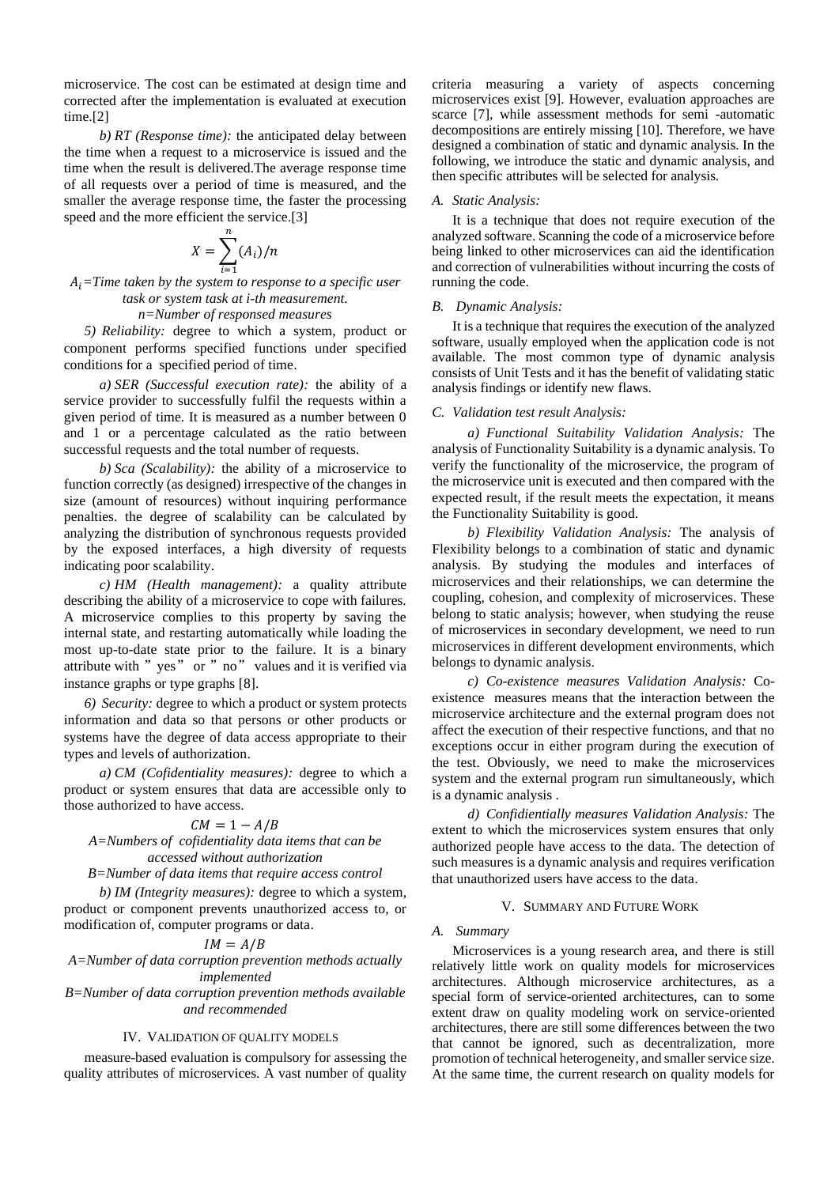microservice. The cost can be estimated at design time and corrected after the implementation is evaluated at execution time.<sup>[2]</sup>

*b) RT (Response time):* the anticipated delay between the time when a request to a microservice is issued and the time when the result is delivered.The average response time of all requests over a period of time is measured, and the smaller the average response time, the faster the processing speed and the more efficient the service.[3]

$$
X = \sum_{i=1}^{n} (A_i) / n
$$

 $A_i$ =Time taken by the system to response to a specific user *task or system task at i-th measurement.*

*n=Number of responsed measures*

*5) Reliability:* degree to which a system, product or component performs specified functions under specified conditions for a specified period of time.

*a) SER (Successful execution rate):* the ability of a service provider to successfully fulfil the requests within a given period of time. It is measured as a number between 0 and 1 or a percentage calculated as the ratio between successful requests and the total number of requests.

*b) Sca (Scalability):* the ability of a microservice to function correctly (as designed) irrespective of the changes in size (amount of resources) without inquiring performance penalties. the degree of scalability can be calculated by analyzing the distribution of synchronous requests provided by the exposed interfaces, a high diversity of requests indicating poor scalability.

*c) HM (Health management):* a quality attribute describing the ability of a microservice to cope with failures. A microservice complies to this property by saving the internal state, and restarting automatically while loading the most up-to-date state prior to the failure. It is a binary attribute with "yes" or "no" values and it is verified via instance graphs or type graphs [8].

*6) Security:* degree to which a product or system protects information and data so that persons or other products or systems have the degree of data access appropriate to their types and levels of authorization.

*a) CM (Cofidentiality measures):* degree to which a product or system ensures that data are accessible only to those authorized to have access.

# $CM = 1 - A/B$

*A=Numbers of cofidentiality data items that can be accessed without authorization*

*B=Number of data items that require access control*

*b) IM (Integrity measures):* degree to which a system, product or component prevents unauthorized access to, or modification of, computer programs or data.

# $IM = A/B$

*A=Number of data corruption prevention methods actually implemented*

*B=Number of data corruption prevention methods available and recommended*

### IV. VALIDATION OF QUALITY MODELS

measure-based evaluation is compulsory for assessing the quality attributes of microservices. A vast number of quality criteria measuring a variety of aspects concerning microservices exist [9]. However, evaluation approaches are scarce [7], while assessment methods for semi -automatic decompositions are entirely missing [10]. Therefore, we have designed a combination of static and dynamic analysis. In the following, we introduce the static and dynamic analysis, and then specific attributes will be selected for analysis.

### *A. Static Analysis:*

It is a technique that does not require execution of the analyzed software. Scanning the code of a microservice before being linked to other microservices can aid the identification and correction of vulnerabilities without incurring the costs of running the code.

#### *B. Dynamic Analysis:*

It is a technique that requires the execution of the analyzed software, usually employed when the application code is not available. The most common type of dynamic analysis consists of Unit Tests and it has the benefit of validating static analysis findings or identify new flaws.

### *C. Validation test result Analysis:*

*a) Functional Suitability Validation Analysis:* The analysis of Functionality Suitability is a dynamic analysis. To verify the functionality of the microservice, the program of the microservice unit is executed and then compared with the expected result, if the result meets the expectation, it means the Functionality Suitability is good.

*b) Flexibility Validation Analysis:* The analysis of Flexibility belongs to a combination of static and dynamic analysis. By studying the modules and interfaces of microservices and their relationships, we can determine the coupling, cohesion, and complexity of microservices. These belong to static analysis; however, when studying the reuse of microservices in secondary development, we need to run microservices in different development environments, which belongs to dynamic analysis.

*c) Co-existence measures Validation Analysis:* Coexistence measures means that the interaction between the microservice architecture and the external program does not affect the execution of their respective functions, and that no exceptions occur in either program during the execution of the test. Obviously, we need to make the microservices system and the external program run simultaneously, which is a dynamic analysis .

*d) Confidientially measures Validation Analysis:* The extent to which the microservices system ensures that only authorized people have access to the data. The detection of such measures is a dynamic analysis and requires verification that unauthorized users have access to the data.

### V. SUMMARY AND FUTURE WORK

### *A. Summary*

Microservices is a young research area, and there is still relatively little work on quality models for microservices architectures. Although microservice architectures, as a special form of service-oriented architectures, can to some extent draw on quality modeling work on service-oriented architectures, there are still some differences between the two that cannot be ignored, such as decentralization, more promotion of technical heterogeneity, and smaller service size. At the same time, the current research on quality models for